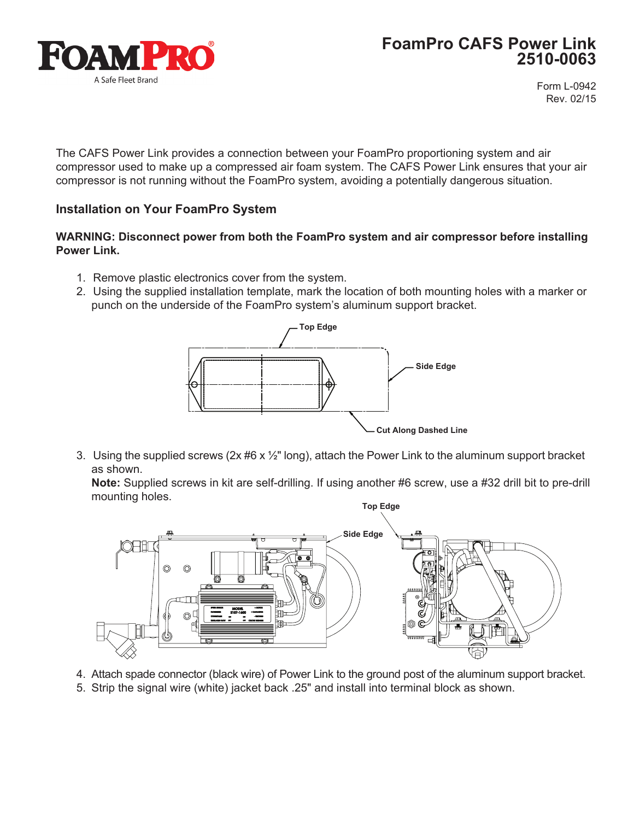

Form L-0942 Rev. 02/15

The CAFS Power Link provides a connection between your FoamPro proportioning system and air compressor used to make up a compressed air foam system. The CAFS Power Link ensures that your air compressor is not running without the FoamPro system, avoiding a potentially dangerous situation.

### **Installation on Your FoamPro System**

#### **WARNING: Disconnect power from both the FoamPro system and air compressor before installing Power Link.**

- 1. Remove plastic electronics cover from the system.
- 2. Using the supplied installation template, mark the location of both mounting holes with a marker or punch on the underside of the FoamPro system's aluminum support bracket.



3. Using the supplied screws ( $2x \#6 x \frac{1}{2}$ " long), attach the Power Link to the aluminum support bracket as shown.

 **Note:** Supplied screws in kit are self-drilling. If using another #6 screw, use a #32 drill bit to pre-drill mounting holes.



- 4. Attach spade connector (black wire) of Power Link to the ground post of the aluminum support bracket.
- 5. Strip the signal wire (white) jacket back .25" and install into terminal block as shown.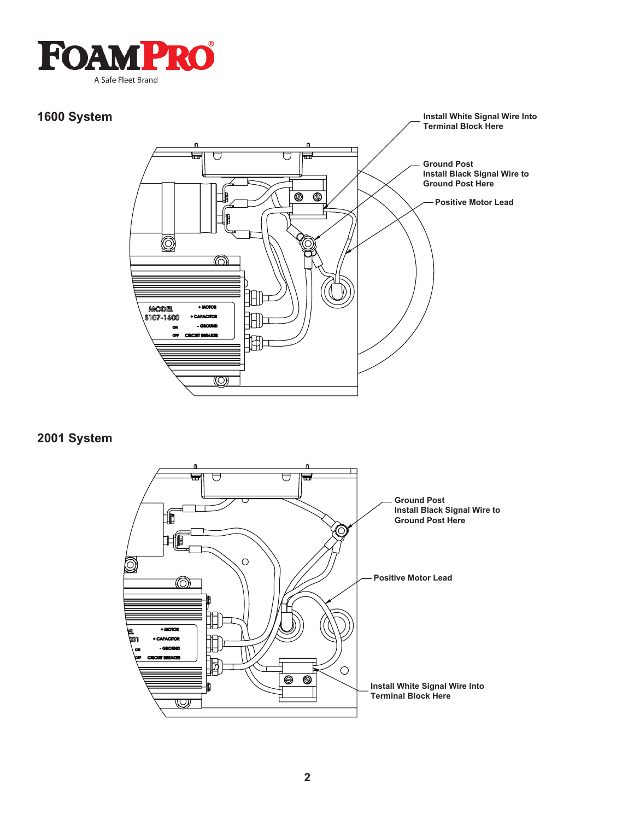

#### **1600 System**



# **2001 System**

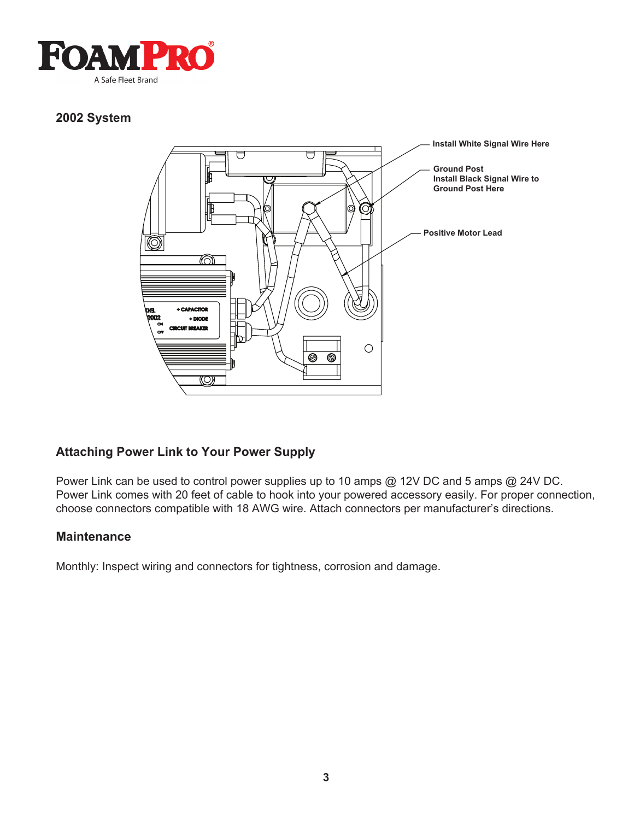

# **2002 System**



# **Attaching Power Link to Your Power Supply**

Power Link can be used to control power supplies up to 10 amps @ 12V DC and 5 amps @ 24V DC. Power Link comes with 20 feet of cable to hook into your powered accessory easily. For proper connection, choose connectors compatible with 18 AWG wire. Attach connectors per manufacturer's directions.

#### **Maintenance**

Monthly: Inspect wiring and connectors for tightness, corrosion and damage.